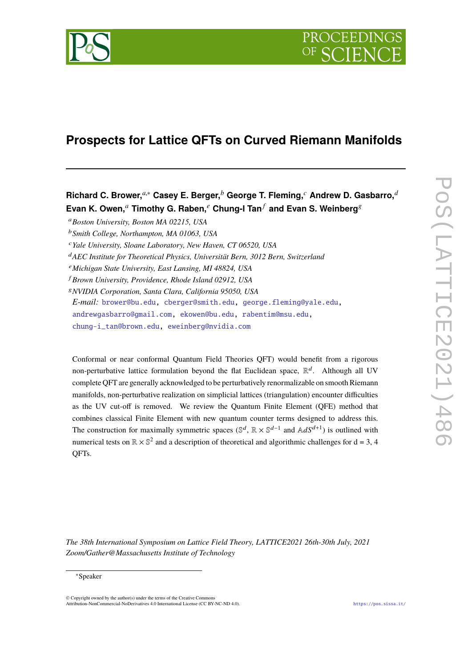

# **Prospects for Lattice QFTs on Curved Riemann Manifolds**

**Richard C. Brower,***a*,<sup>∗</sup> **Casey E. Berger,***<sup>b</sup>* **George T. Fleming,***<sup>c</sup>* **Andrew D. Gasbarro,***<sup>d</sup>* **Evan K. Owen,***<sup>a</sup>* **Timothy G. Raben,***<sup>e</sup>* **Chung-I Tan***<sup>f</sup>* **and Evan S. Weinberg**<sup>g</sup>

<sup>d</sup>*AEC Institute for Theoretical Physics, Universität Bern, 3012 Bern, Switzerland*

- <sup>f</sup> *Brown University, Providence, Rhode Island 02912, USA*
- <sup>g</sup>*NVIDIA Corporation, Santa Clara, California 95050, USA*

*E-mail:* [brower@bu.edu,](mailto:brower@bu.edu) [cberger@smith.edu,](mailto:cberger@smith.edu) [george.fleming@yale.edu,](mailto:george.fleming@yale.edu) [andrewgasbarro@gmail.com,](mailto:andrewgasbarro@gmail.com) [ekowen@bu.edu,](mailto:ekowen@bu.edu) [rabentim@msu.edu,](mailto:rabentim@msu.edu) [chung-i\\_tan@brown.edu,](mailto:chung-i_tan@brown.edu) [eweinberg@nvidia.com](mailto:eweinberg@nvidia.com)

Conformal or near conformal Quantum Field Theories QFT) would benefit from a rigorous non-perturbative lattice formulation beyond the flat Euclidean space,  $\mathbb{R}^d$ . Although all UV complete QFT are generally acknowledged to be perturbatively renormalizable on smooth Riemann manifolds, non-perturbative realization on simplicial lattices (triangulation) encounter difficulties as the UV cut-off is removed. We review the Quantum Finite Element (QFE) method that combines classical Finite Element with new quantum counter terms designed to address this. The construction for maximally symmetric spaces ( $\mathbb{S}^d$ ,  $\mathbb{R} \times \mathbb{S}^{d-1}$  and  $\mathbb{A} dS^{d+1}$ ) is outlined with numerical tests on  $\mathbb{R} \times \mathbb{S}^2$  and a description of theoretical and algorithmic challenges for d = 3, 4 QFTs.

*The 38th International Symposium on Lattice Field Theory, LATTICE2021 26th-30th July, 2021 Zoom/Gather@Massachusetts Institute of Technology*

<sup>a</sup>*Boston University, Boston MA 02215, USA*

<sup>b</sup>*Smith College, Northampton, MA 01063, USA*

<sup>c</sup>*Yale University, Sloane Laboratory, New Haven, CT 06520, USA*

<sup>e</sup>*Michigan State University, East Lansing, MI 48824, USA*

<sup>∗</sup>Speaker

 $\odot$  Copyright owned by the author(s) under the terms of the Creative Common Attribution-NonCommercial-NoDerivatives 4.0 International License (CC BY-NC-ND 4.0). <https://pos.sissa.it/>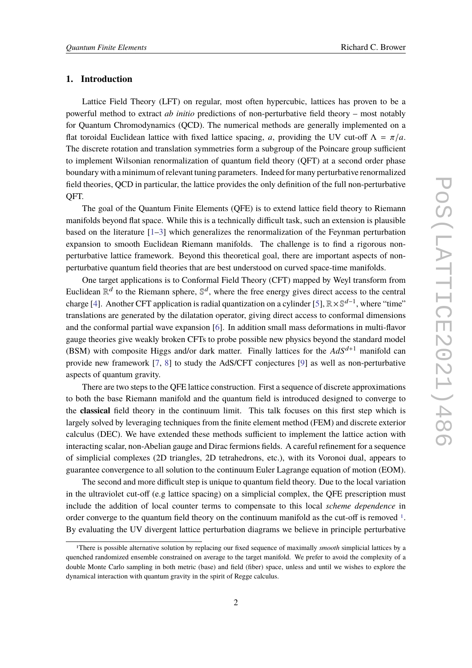### **1. Introduction**

Lattice Field Theory (LFT) on regular, most often hypercubic, lattices has proven to be a powerful method to extract *ab initio* predictions of non-perturbative field theory – most notably for Quantum Chromodynamics (QCD). The numerical methods are generally implemented on a flat toroidal Euclidean lattice with fixed lattice spacing, *a*, providing the UV cut-off  $\Lambda = \pi/a$ . The discrete rotation and translation symmetries form a subgroup of the Poincare group sufficient to implement Wilsonian renormalization of quantum field theory (QFT) at a second order phase boundary with a minimum of relevant tuning parameters. Indeed for many perturbative renormalized field theories, QCD in particular, the lattice provides the only definition of the full non-perturbative QFT.

The goal of the Quantum Finite Elements (QFE) is to extend lattice field theory to Riemann manifolds beyond flat space. While this is a technically difficult task, such an extension is plausible based on the literature [\[1–](#page-6-0)[3\]](#page-6-1) which generalizes the renormalization of the Feynman perturbation expansion to smooth Euclidean Riemann manifolds. The challenge is to find a rigorous nonperturbative lattice framework. Beyond this theoretical goal, there are important aspects of nonperturbative quantum field theories that are best understood on curved space-time manifolds.

One target applications is to Conformal Field Theory (CFT) mapped by Weyl transform from Euclidean  $\mathbb{R}^d$  to the Riemann sphere,  $\mathbb{S}^d$ , where the free energy gives direct access to the central charge [\[4\]](#page-6-2). Another CFT application is radial quantization on a cylinder [\[5\]](#page-6-3),  $\mathbb{R} \times \mathbb{S}^{d-1}$ , where "time" translations are generated by the dilatation operator, giving direct access to conformal dimensions and the conformal partial wave expansion [\[6\]](#page-6-4). In addition small mass deformations in multi-flavor gauge theories give weakly broken CFTs to probe possible new physics beyond the standard model (BSM) with composite Higgs and/or dark matter. Finally lattices for the  $AdS^{d+1}$  manifold can provide new framework [\[7,](#page-6-5) [8\]](#page-6-6) to study the AdS/CFT conjectures [\[9\]](#page-6-7) as well as non-perturbative aspects of quantum gravity.

There are two steps to the QFE lattice construction. First a sequence of discrete approximations to both the base Riemann manifold and the quantum field is introduced designed to converge to the **classical** field theory in the continuum limit. This talk focuses on this first step which is largely solved by leveraging techniques from the finite element method (FEM) and discrete exterior calculus (DEC). We have extended these methods sufficient to implement the lattice action with interacting scalar, non-Abelian gauge and Dirac fermions fields. A careful refinement for a sequence of simplicial complexes (2D triangles, 2D tetrahedrons, etc.), with its Voronoi dual, appears to guarantee convergence to all solution to the continuum Euler Lagrange equation of motion (EOM).

The second and more difficult step is unique to quantum field theory. Due to the local variation in the ultraviolet cut-off (e.g lattice spacing) on a simplicial complex, the QFE prescription must include the addition of local counter terms to compensate to this local *scheme dependence* in order converge to the quantum field theory on the continuum manifold as the cut-off is removed [1](#page-1-0). By evaluating the UV divergent lattice perturbation diagrams we believe in principle perturbative

<span id="page-1-0"></span><sup>1</sup>There is possible alternative solution by replacing our fixed sequence of maximally *smooth* simplicial lattices by a quenched randomized ensemble constrained on average to the target manifold. We prefer to avoid the complexity of a double Monte Carlo sampling in both metric (base) and field (fiber) space, unless and until we wishes to explore the dynamical interaction with quantum gravity in the spirit of Regge calculus.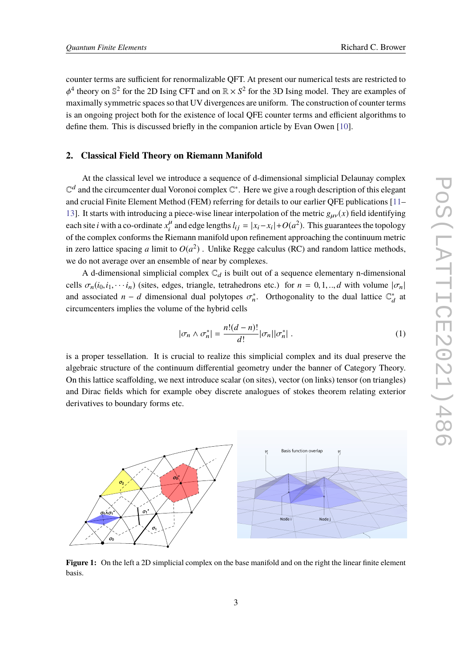counter terms are sufficient for renormalizable QFT. At present our numerical tests are restricted to maximally symmetric spaces so that UV divergences are uniform. The construction of counter terms <sup>4</sup> theory on  $\mathbb{S}^2$  for the 2D Ising CFT and on  $\mathbb{R} \times S^2$  for the 3D Ising model. They are examples of is an ongoing project both for the existence of local QFE counter terms and efficient algorithms to define them. This is discussed briefly in the companion article by Evan Owen [\[10\]](#page-6-8).

### **2. Classical Field Theory on Riemann Manifold**

At the classical level we introduce a sequence of d-dimensional simplicial Delaunay complex  $\mathbb{C}^d$  and the circumcenter dual Voronoi complex  $\mathbb{C}^*$ . Here we give a rough description of this elegant and crucial Finite Element Method (FEM) referring for details to our earlier QFE publications [\[11–](#page-6-9) [13\]](#page-6-10). It starts with introducing a piece-wise linear interpolation of the metric  $g_{\mu\nu}(x)$  field identifying each site *i* with a co-ordinate  $x_i^{\mu}$  and edge lengths  $l_{ij} = |x_i - x_i| + O(a^2)$ . This guarantees the topology of the complex conforms the Riemann manifold upon refinement approaching the continuum metric in zero lattice spacing *a* limit to  $O(a^2)$ . Unlike Regge calculus (RC) and random lattice methods, we do not average over an ensemble of near by complexes.

A d-dimensional simplicial complex  $\mathbb{C}_d$  is built out of a sequence elementary n-dimensional cells  $\sigma_n(i_0,i_1,\dots,i_n)$  (sites, edges, triangle, tetrahedrons etc.) for  $n=0,1,..,d$  with volume  $|\sigma_n|$ and associated *n* − *d* dimensional dual polytopes  $\sigma_n^*$ . Orthogonality to the dual lattice  $\mathbb{C}_\epsilon^*$  $_d^*$  at circumcenters implies the volume of the hybrid cells

<span id="page-2-0"></span>
$$
|\sigma_n \wedge \sigma_n^*| = \frac{n!(d-n)!}{d!} |\sigma_n||\sigma_n^*| \,. \tag{1}
$$

is a proper tessellation. It is crucial to realize this simplicial complex and its dual preserve the algebraic structure of the continuum differential geometry under the banner of Category Theory. On this lattice scaffolding, we next introduce scalar (on sites), vector (on links) tensor (on triangles) and Dirac fields which for example obey discrete analogues of stokes theorem relating exterior derivatives to boundary forms etc.

<span id="page-2-1"></span>

**Figure 1:** On the left a 2D simplicial complex on the base manifold and on the right the linear finite element basis.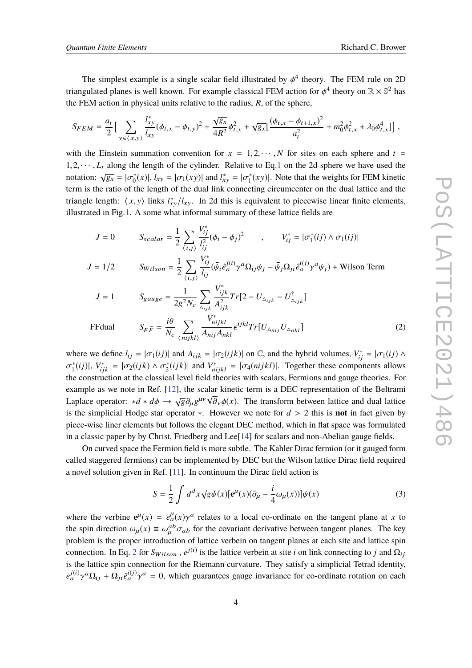The simplest example is a single scalar field illustrated by  $\phi^4$  theory. The FEM rule on 2D<br>coulated planes is youl known. For example algorized EEM action for  $A^4$  theory on  $\mathbb{R} \times \mathbb{S}^2$  has triangulated planes is well known. For example classical FEM action for  $\phi^4$  theory on  $\mathbb{R} \times \mathbb{S}^2$  has the FEM action in physical units relative to the radius, *R*, of the sphere,

<span id="page-3-0"></span>
$$
S_{FEM} = \frac{a_t}{2} \Big[ \sum_{y \in \langle x, y \rangle} \frac{l_{xy}^*}{l_{xy}} (\phi_{t,x} - \phi_{t,y})^2 + \frac{\sqrt{g_x}}{4R^2} \phi_{t,x}^2 + \sqrt{g_x} \Big[ \frac{(\phi_{t,x} - \phi_{t+1,x})^2}{a_t^2} + m_0^2 \phi_{t,x}^2 + \lambda_0 \phi_{t,x}^4 \Big] \Big],
$$

with the Einstein summation convention for  $x = 1, 2, \dots, N$  for sites on each sphere and  $t =$  $1, 2, \dots, L_t$  along the length of the cylinder. Relative to Eq[.1](#page-2-0) on the 2d sphere we have used the notation:  $\sqrt{g_x} = |\sigma_0^*|$  $\begin{cases} \n\frac{1}{0}(x) \mid, l_{xy} = |\sigma_1(xy)| \text{ and } l_{xy}^* = |\sigma_1^*| \n\end{cases}$  $\int_1^*(xy)$ . Note that the weights for FEM kinetic term is the ratio of the length of the dual link connecting circumcenter on the dual lattice and the triangle length:  $\langle x, y \rangle$  links  $l_{xy}^*/l_{xy}$ . In 2d this is equivalent to piecewise linear finite elements, illustrated in Fig[.1.](#page-2-1) A some what informal summary of these lattice fields are

$$
J = 0 \t S_{scalar} = \frac{1}{2} \sum_{\langle i,j \rangle} \frac{V_{ij}^*}{l_{ij}^2} (\phi_i - \phi_j)^2 \t , \t V_{ij}^* = |\sigma_1^*(ij) \wedge \sigma_1(ij)|
$$
  

$$
J = 1/2 \t S_{Wilson} = \frac{1}{2} \sum_{\langle i,j \rangle} \frac{V_{ij}^*}{l_{ij}} (\bar{\psi}_i \hat{e}_a^{j(i)} \gamma^a \Omega_{ij} \psi_j - \bar{\psi}_j \Omega_{ji} \hat{e}_a^{i(j)} \gamma^a \psi_j) + \text{Wilson Term}
$$

$$
J = 1 \t S_{gauge} = \frac{1}{2g^2 N_c} \sum_{\Delta_{ijk}} \frac{V_{ijk}^*}{A_{ijk}^2} Tr[2 - U_{\Delta_{ijk}} - U_{\Delta_{ijk}}^\dagger]
$$
  

$$
i\theta \sum_{j} V_{mijkl}^{*} U_{jkl}^{*}
$$

ni jkl

 $\nabla$  $\langle$  ni jkl $\rangle$ 

$$
\text{FFdual} \qquad \qquad S_{F\widetilde{F}} = \frac{i\theta}{N_c}
$$

where we define  $l_{ij} = |\sigma_1(ij)|$  and  $A_{ijk} = |\sigma_2(ijk)|$  on  $\mathbb{C}$ , and the hybrid volumes,  $V_{ij}^* = |\sigma_1(ij) \wedge \sigma^{*(i,j)}|$  *N*<sup>\*</sup>  $\sigma^{*(i,j)}$  and  $V^*$   $\sigma^{*(i,j)}$  *N*<sup>\*</sup>  $\sigma^{*(i,j)}$  *N*<sup>\*</sup>  $\sigma^{*(i,j)}$  *N*<sup>\*</sup>  $\sigma^{*(i,j)}$  *N*<sup>\*</sup> ։<br>+1. ∗ <sup>\*</sup><sub>1</sub>(*ij*)|,  $V_{ijk}^* = |\sigma_2(ijk) \wedge \sigma_2^*|$  $|2^*(ijk)|$  and  $V_{nijkl}^* = |\sigma_4(nijkl)|$ . Together these components allows the construction at the classical level field theories with scalars, Fermions and gauge theories. For example as we note in Ref. [\[12\]](#page-6-11), the scalar kinetic term is a DEC representation of the Beltrami Laplace operator: *∗d \* d*φ →  $\sqrt{g} \partial_{\mu} g^{\mu\nu} \sqrt{\partial}_{\nu} \phi(x)$ . The transform between lattice and dual lattice is the simplicial Hedge star energies. However we note for *d* > 2 this is not in fact sixen by is the simplicial Hodge star operator <sup>∗</sup>. However we note for *<sup>d</sup>* > <sup>2</sup> this is **not** in fact given by piece-wise liner elements but follows the elegant DEC method, which in flat space was formulated in a classic paper by by Christ, Friedberg and Lee[\[14\]](#page-7-0) for scalars and non-Abelian gauge fields.

On curved space the Fermion field is more subtle. The Kahler Dirac fermion (or it gauged form called staggered fermions) can be implemented by DEC but the Wilson lattice Dirac field required a novel solution given in Ref. [\[11\]](#page-6-9). In continuum the Dirac field action is

$$
S = \frac{1}{2} \int d^d x \sqrt{g} \bar{\psi}(x) [\mathbf{e}^{\mu}(x) (\partial_{\mu} - \frac{i}{4} \omega_{\mu}(x))] \psi(x)
$$
 (3)

 $\frac{n_{Ijkl}}{A_{nij}A_{nkl}} \epsilon^{ijkl} Tr[U_{\Delta_{nij}}U_{\Delta_{nkl}}]$  (2)

where the verbine  $e^{\mu}(x) = e^{\mu}_{a}(x)\gamma^{a}$  relates to a local co-ordinate on the tangent plane at *x* to the enine direction  $\alpha_{a}(x) = e^{ab}_{a}e^{-\beta a}$  for the equation between tangent planes. The leave the spin direction  $\omega_{\mu}(x) \equiv \omega_{\mu}^{ab} \sigma_{ab}$  for the covariant derivative between tangent planes. The key problem is the proper introduction of lattice verbein on tangent planes at each site and lattice spin connection. In Eq. [2](#page-3-0) for  $S_{Wilson}$  ,  $e^{j(i)}$  is the lattice verbein at site *i* on link connecting to *j* and  $\Omega_{ij}$ is the lattice spin connection for the Riemann curvature. They satisfy a simplicial Tetrad identity,  $e_a^{j(i)}$  $j^{(i)}_a \gamma^a \Omega_{ij} + \Omega_{ji} \hat{e}^{i(j)}_a$  $\int_a^{i(j)} \gamma^a = 0$ , which guarantees gauge invariance for co-ordinate rotation on each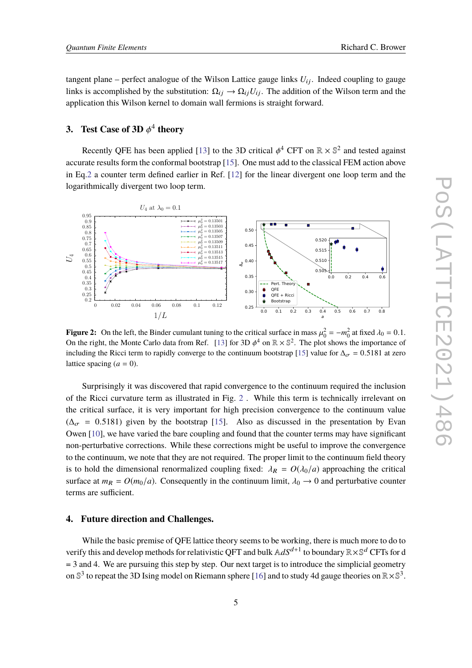tangent plane – perfect analogue of the Wilson Lattice gauge links  $U_{ij}$ . Indeed coupling to gauge links is accomplished by the substitution:  $\Omega_{ij} \to \Omega_{ij} U_{ij}$ . The addition of the Wilson term and the application this Wilson kernel to domain wall fermions is straight forward.

# **3.** Test Case of 3D  $\phi^4$  theory

Recently QFE has been applied [\[13\]](#page-6-10) to the 3D critical  $\phi^4$  CFT on  $\mathbb{R} \times \mathbb{S}^2$  and tested against accurate results form the conformal bootstrap [\[15\]](#page-7-1). One must add to the classical FEM action above in Eq[.2](#page-3-0) a counter term defined earlier in Ref. [\[12\]](#page-6-11) for the linear divergent one loop term and the logarithmically divergent two loop term.

<span id="page-4-0"></span>

**Figure 2:** On the left, the Binder cumulant tuning to the critical surface in mass  $\mu_0^2 = -m_0^2$  at fixed  $\lambda_0 = 0.1$ .<br>On the right, the Monte Carlo date from Bef. [12] for 2D 4<sup>4</sup> on  $\mathbb{R} \times \mathbb{S}^2$ . The plot shows On the right, the Monte Carlo data from Ref. [\[13\]](#page-6-10) for 3D  $\phi^4$  on  $\mathbb{R} \times \mathbb{S}^2$ . The plot shows the importance of including the Picci term to regidly converge to the continuum boststrep [15] value for  $\Lambda = 0.5181$  s including the Ricci term to rapidly converge to the continuum bootstrap [\[15\]](#page-7-1) value for  $\Delta_{\sigma} = 0.5181$  at zero lattice spacing  $(a = 0)$ .

Surprisingly it was discovered that rapid convergence to the continuum required the inclusion of the Ricci curvature term as illustrated in Fig. [2](#page-4-0) . While this term is technically irrelevant on the critical surface, it is very important for high precision convergence to the continuum value  $(\Delta_{\sigma} = 0.5181)$  given by the bootstrap [\[15\]](#page-7-1). Also as discussed in the presentation by Evan Owen [\[10\]](#page-6-8), we have varied the bare coupling and found that the counter terms may have significant non-perturbative corrections. While these corrections might be useful to improve the convergence to the continuum, we note that they are not required. The proper limit to the continuum field theory is to hold the dimensional renormalized coupling fixed:  $\lambda_R = O(\lambda_0/a)$  approaching the critical surface at  $m_R = O(m_0/a)$ . Consequently in the continuum limit,  $\lambda_0 \rightarrow 0$  and perturbative counter terms are sufficient.

## **4. Future direction and Challenges.**

While the basic premise of QFE lattice theory seems to be working, there is much more to do to verify this and develop methods for relativistic QFT and bulk  $\mathbb{A} dS^{d+1}$  to boundary  $\mathbb{R}\times\mathbb{S}^d$  CFTs for d  $=$  3 and 4. We are pursuing this step by step. Our next target is to introduce the simplicial geometry on  $\mathbb{S}^3$  to repeat the 3D Ising model on Riemann sphere [\[16\]](#page-7-2) and to study 4d gauge theories on  $\mathbb{R}\times\mathbb{S}^3$ .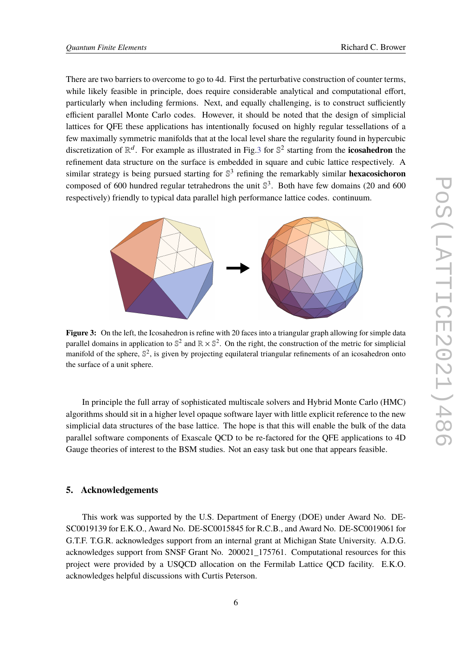There are two barriers to overcome to go to 4d. First the perturbative construction of counter terms, while likely feasible in principle, does require considerable analytical and computational effort, particularly when including fermions. Next, and equally challenging, is to construct sufficiently efficient parallel Monte Carlo codes. However, it should be noted that the design of simplicial lattices for QFE these applications has intentionally focused on highly regular tessellations of a few maximally symmetric manifolds that at the local level share the regularity found in hypercubic discretization of R d . For example as illustrated in Fig[.3](#page-5-0) for S 2 starting from the **icosahedron** the refinement data structure on the surface is embedded in square and cubic lattice respectively. A similar strategy is being pursued starting for S 3 refining the remarkably similar **hexacosichoron** composed of 600 hundred regular tetrahedrons the unit  $\mathbb{S}^3$ . Both have few domains (20 and 600 respectively) friendly to typical data parallel high performance lattice codes. continuum.

<span id="page-5-0"></span>

**Figure 3:** On the left, the Icosahedron is refine with 20 faces into a triangular graph allowing for simple data parallel domains in application to  $\mathbb{S}^2$  and  $\mathbb{R} \times \mathbb{S}^2$ . On the right, the construction of the metric for simplicial manifold of the sphere,  $\mathbb{S}^2$ , is given by projecting equilateral triangular refinements of an icosahedron onto the surface of a unit sphere.

In principle the full array of sophisticated multiscale solvers and Hybrid Monte Carlo (HMC) algorithms should sit in a higher level opaque software layer with little explicit reference to the new simplicial data structures of the base lattice. The hope is that this will enable the bulk of the data parallel software components of Exascale QCD to be re-factored for the QFE applications to 4D Gauge theories of interest to the BSM studies. Not an easy task but one that appears feasible.

# **5. Acknowledgements**

This work was supported by the U.S. Department of Energy (DOE) under Award No. DE-SC0019139 for E.K.O., Award No. DE-SC0015845 for R.C.B., and Award No. DE-SC0019061 for G.T.F. T.G.R. acknowledges support from an internal grant at Michigan State University. A.D.G. acknowledges support from SNSF Grant No. 200021\_175761. Computational resources for this project were provided by a USQCD allocation on the Fermilab Lattice QCD facility. E.K.O. acknowledges helpful discussions with Curtis Peterson.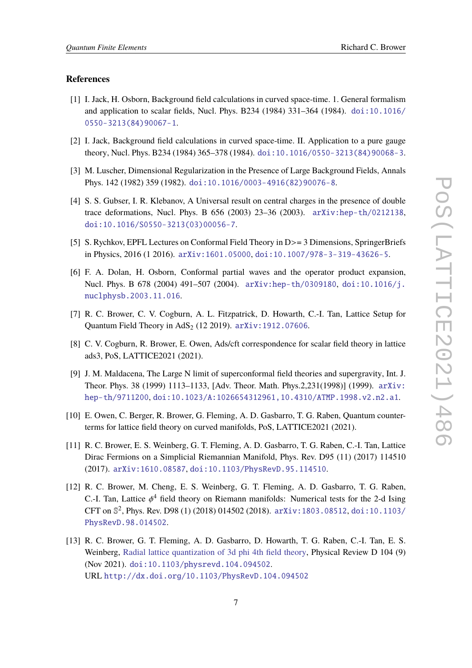#### **References**

- <span id="page-6-0"></span>[1] I. Jack, H. Osborn, Background field calculations in curved space-time. 1. General formalism and application to scalar fields, Nucl. Phys. B234 (1984) 331–364 (1984). [doi:10.1016/](https://doi.org/10.1016/0550-3213(84)90067-1) [0550-3213\(84\)90067-1](https://doi.org/10.1016/0550-3213(84)90067-1).
- [2] I. Jack, Background field calculations in curved space-time. II. Application to a pure gauge theory, Nucl. Phys. B234 (1984) 365–378 (1984). [doi:10.1016/0550-3213\(84\)90068-3](https://doi.org/10.1016/0550-3213(84)90068-3).
- <span id="page-6-1"></span>[3] M. Luscher, Dimensional Regularization in the Presence of Large Background Fields, Annals Phys. 142 (1982) 359 (1982). [doi:10.1016/0003-4916\(82\)90076-8](https://doi.org/10.1016/0003-4916(82)90076-8).
- <span id="page-6-2"></span>[4] S. S. Gubser, I. R. Klebanov, A Universal result on central charges in the presence of double trace deformations, Nucl. Phys. B 656 (2003) 23–36 (2003). [arXiv:hep-th/0212138](http://arxiv.org/abs/hep-th/0212138), [doi:10.1016/S0550-3213\(03\)00056-7](https://doi.org/10.1016/S0550-3213(03)00056-7).
- <span id="page-6-3"></span>[5] S. Rychkov, EPFL Lectures on Conformal Field Theory in D>= 3 Dimensions, SpringerBriefs in Physics, 2016 (1 2016). [arXiv:1601.05000](http://arxiv.org/abs/1601.05000), [doi:10.1007/978-3-319-43626-5](https://doi.org/10.1007/978-3-319-43626-5).
- <span id="page-6-4"></span>[6] F. A. Dolan, H. Osborn, Conformal partial waves and the operator product expansion, Nucl. Phys. B 678 (2004) 491–507 (2004). [arXiv:hep-th/0309180](http://arxiv.org/abs/hep-th/0309180), [doi:10.1016/j.](https://doi.org/10.1016/j.nuclphysb.2003.11.016) [nuclphysb.2003.11.016](https://doi.org/10.1016/j.nuclphysb.2003.11.016).
- <span id="page-6-5"></span>[7] R. C. Brower, C. V. Cogburn, A. L. Fitzpatrick, D. Howarth, C.-I. Tan, Lattice Setup for Quantum Field Theory in  $AdS<sub>2</sub>$  (12 2019).  $arXiv:1912.07606$ .
- <span id="page-6-6"></span>[8] C. V. Cogburn, R. Brower, E. Owen, Ads/cft correspondence for scalar field theory in lattice ads3, PoS, LATTICE2021 (2021).
- <span id="page-6-7"></span>[9] J. M. Maldacena, The Large N limit of superconformal field theories and supergravity, Int. J. Theor. Phys. 38 (1999) 1113–1133, [Adv. Theor. Math. Phys.2,231(1998)] (1999). [arXiv:](http://arxiv.org/abs/hep-th/9711200) [hep-th/9711200](http://arxiv.org/abs/hep-th/9711200), [doi:10.1023/A:1026654312961,10.4310/ATMP.1998.v2.n2.a1](https://doi.org/10.1023/A:1026654312961, 10.4310/ATMP.1998.v2.n2.a1).
- <span id="page-6-8"></span>[10] E. Owen, C. Berger, R. Brower, G. Fleming, A. D. Gasbarro, T. G. Raben, Quantum counterterms for lattice field theory on curved manifolds, PoS, LATTICE2021 (2021).
- <span id="page-6-9"></span>[11] R. C. Brower, E. S. Weinberg, G. T. Fleming, A. D. Gasbarro, T. G. Raben, C.-I. Tan, Lattice Dirac Fermions on a Simplicial Riemannian Manifold, Phys. Rev. D95 (11) (2017) 114510 (2017). [arXiv:1610.08587](http://arxiv.org/abs/1610.08587), [doi:10.1103/PhysRevD.95.114510](https://doi.org/10.1103/PhysRevD.95.114510).
- <span id="page-6-11"></span>[12] R. C. Brower, M. Cheng, E. S. Weinberg, G. T. Fleming, A. D. Gasbarro, T. G. Raben, C.-I. Tan, Lattice  $\phi^4$  field theory on Riemann manifolds: Numerical tests for the 2-d Ising<br>CET as  $\mathbb{S}^2$ , Plays Day DOS (1) (2018) 014502 (2018), ary is 1902, 08512, designed 1102 ( CFT on S 2 , Phys. Rev. D98 (1) (2018) 014502 (2018). [arXiv:1803.08512](http://arxiv.org/abs/1803.08512), [doi:10.1103/](https://doi.org/10.1103/PhysRevD.98.014502) [PhysRevD.98.014502](https://doi.org/10.1103/PhysRevD.98.014502).
- <span id="page-6-10"></span>[13] R. C. Brower, G. T. Fleming, A. D. Gasbarro, D. Howarth, T. G. Raben, C.-I. Tan, E. S. Weinberg, [Radial lattice quantization of 3d phi 4th field theory,](http://dx.doi.org/10.1103/PhysRevD.104.094502) Physical Review D 104 (9) (Nov 2021). [doi:10.1103/physrevd.104.094502](https://doi.org/10.1103/physrevd.104.094502). URL <http://dx.doi.org/10.1103/PhysRevD.104.094502>